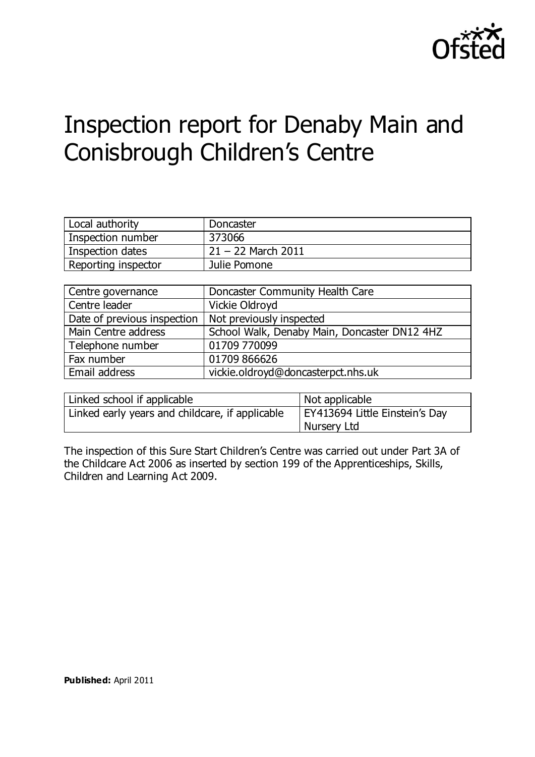

# Inspection report for Denaby Main and Conisbrough Children's Centre

| Local authority     | Doncaster            |
|---------------------|----------------------|
| Inspection number   | 373066               |
| Inspection dates    | $21 - 22$ March 2011 |
| Reporting inspector | Julie Pomone         |

| Centre governance           | Doncaster Community Health Care              |
|-----------------------------|----------------------------------------------|
| Centre leader               | Vickie Oldroyd                               |
| Date of previous inspection | Not previously inspected                     |
| Main Centre address         | School Walk, Denaby Main, Doncaster DN12 4HZ |
| Telephone number            | 01709 770099                                 |
| Fax number                  | 01709 866626                                 |
| Email address               | vickie.oldroyd@doncasterpct.nhs.uk           |

| Linked school if applicable                     | Not applicable                 |
|-------------------------------------------------|--------------------------------|
| Linked early years and childcare, if applicable | EY413694 Little Einstein's Day |
|                                                 | Nursery Ltd                    |

The inspection of this Sure Start Children's Centre was carried out under Part 3A of the Childcare Act 2006 as inserted by section 199 of the Apprenticeships, Skills, Children and Learning Act 2009.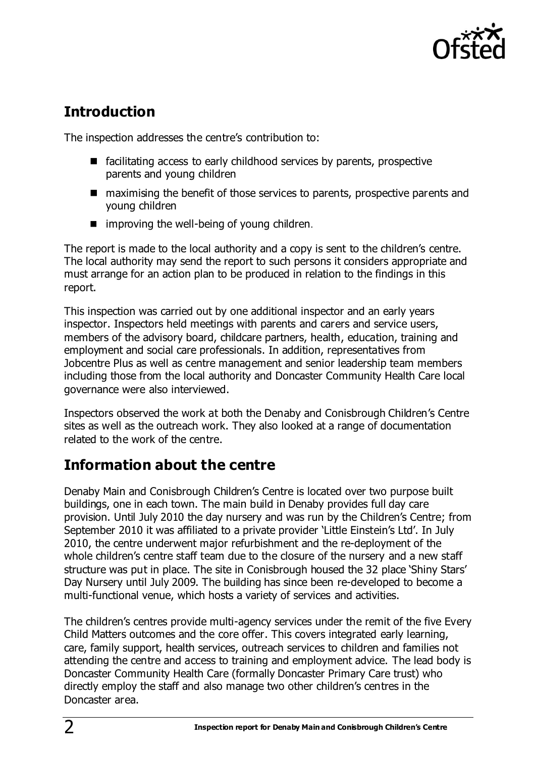

# **Introduction**

The inspection addresses the centre's contribution to:

- facilitating access to early childhood services by parents, prospective parents and young children
- maximising the benefit of those services to parents, prospective parents and young children
- $\blacksquare$  improving the well-being of young children.

The report is made to the local authority and a copy is sent to the children's centre. The local authority may send the report to such persons it considers appropriate and must arrange for an action plan to be produced in relation to the findings in this report.

This inspection was carried out by one additional inspector and an early years inspector. Inspectors held meetings with parents and carers and service users, members of the advisory board, childcare partners, health, education, training and employment and social care professionals. In addition, representatives from Jobcentre Plus as well as centre management and senior leadership team members including those from the local authority and Doncaster Community Health Care local governance were also interviewed.

Inspectors observed the work at both the Denaby and Conisbrough Children's Centre sites as well as the outreach work. They also looked at a range of documentation related to the work of the centre.

# **Information about the centre**

Denaby Main and Conisbrough Children's Centre is located over two purpose built buildings, one in each town. The main build in Denaby provides full day care provision. Until July 2010 the day nursery and was run by the Children's Centre; from September 2010 it was affiliated to a private provider 'Little Einstein's Ltd'. In July 2010, the centre underwent major refurbishment and the re-deployment of the whole children's centre staff team due to the closure of the nursery and a new staff structure was put in place. The site in Conisbrough housed the 32 place 'Shiny Stars' Day Nursery until July 2009. The building has since been re-developed to become a multi-functional venue, which hosts a variety of services and activities.

The children's centres provide multi-agency services under the remit of the five Every Child Matters outcomes and the core offer. This covers integrated early learning, care, family support, health services, outreach services to children and families not attending the centre and access to training and employment advice. The lead body is Doncaster Community Health Care (formally Doncaster Primary Care trust) who directly employ the staff and also manage two other children's centres in the Doncaster area.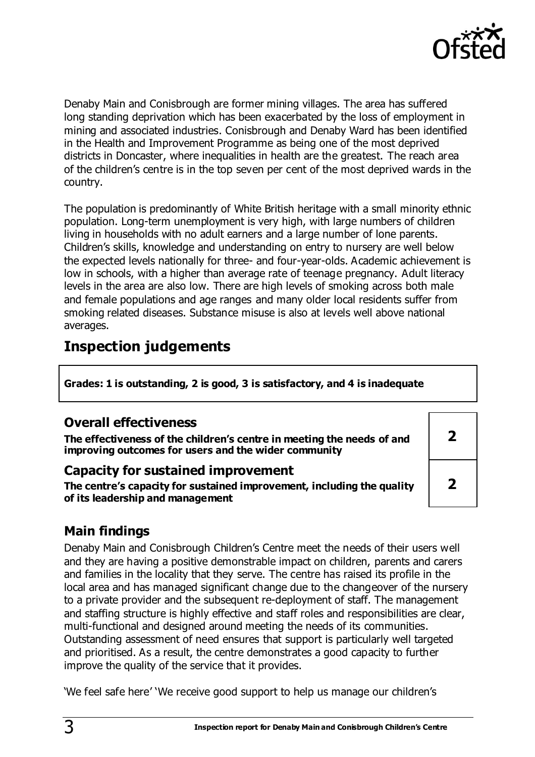

Denaby Main and Conisbrough are former mining villages. The area has suffered long standing deprivation which has been exacerbated by the loss of employment in mining and associated industries. Conisbrough and Denaby Ward has been identified in the Health and Improvement Programme as being one of the most deprived districts in Doncaster, where inequalities in health are the greatest. The reach area of the children's centre is in the top seven per cent of the most deprived wards in the country.

The population is predominantly of White British heritage with a small minority ethnic population. Long-term unemployment is very high, with large numbers of children living in households with no adult earners and a large number of lone parents. Children's skills, knowledge and understanding on entry to nursery are well below the expected levels nationally for three- and four-year-olds. Academic achievement is low in schools, with a higher than average rate of teenage pregnancy. Adult literacy levels in the area are also low. There are high levels of smoking across both male and female populations and age ranges and many older local residents suffer from smoking related diseases. Substance misuse is also at levels well above national averages.

# **Inspection judgements**

**Grades: 1 is outstanding, 2 is good, 3 is satisfactory, and 4 is inadequate**

### **Overall effectiveness**

**The effectiveness of the children's centre in meeting the needs of and improving outcomes for users and the wider community**

#### **Capacity for sustained improvement**

**The centre's capacity for sustained improvement, including the quality of its leadership and management**

**2 2**

# **Main findings**

Denaby Main and Conisbrough Children's Centre meet the needs of their users well and they are having a positive demonstrable impact on children, parents and carers and families in the locality that they serve. The centre has raised its profile in the local area and has managed significant change due to the changeover of the nursery to a private provider and the subsequent re-deployment of staff. The management and staffing structure is highly effective and staff roles and responsibilities are clear, multi-functional and designed around meeting the needs of its communities. Outstanding assessment of need ensures that support is particularly well targeted and prioritised. As a result, the centre demonstrates a good capacity to further improve the quality of the service that it provides.

'We feel safe here' 'We receive good support to help us manage our children's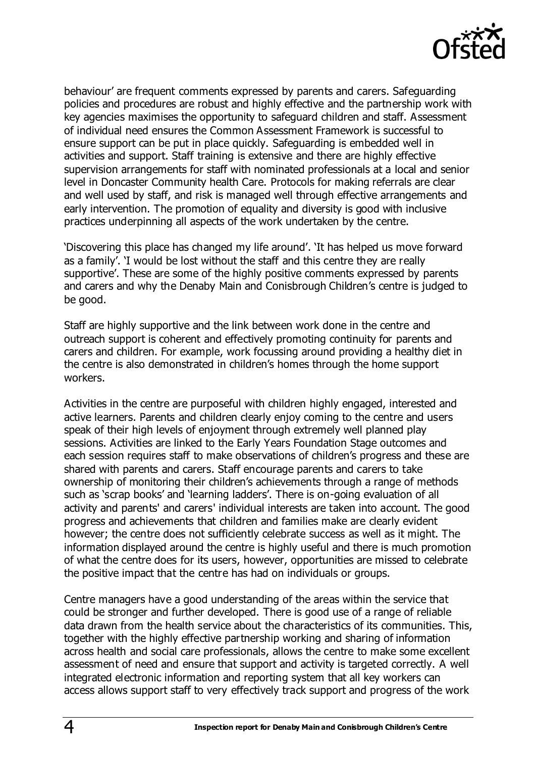

behaviour' are frequent comments expressed by parents and carers. Safeguarding policies and procedures are robust and highly effective and the partnership work with key agencies maximises the opportunity to safeguard children and staff. Assessment of individual need ensures the Common Assessment Framework is successful to ensure support can be put in place quickly. Safeguarding is embedded well in activities and support. Staff training is extensive and there are highly effective supervision arrangements for staff with nominated professionals at a local and senior level in Doncaster Community health Care. Protocols for making referrals are clear and well used by staff, and risk is managed well through effective arrangements and early intervention. The promotion of equality and diversity is good with inclusive practices underpinning all aspects of the work undertaken by the centre.

'Discovering this place has changed my life around'. 'It has helped us move forward as a family'. 'I would be lost without the staff and this centre they are really supportive'. These are some of the highly positive comments expressed by parents and carers and why the Denaby Main and Conisbrough Children's centre is judged to be good.

Staff are highly supportive and the link between work done in the centre and outreach support is coherent and effectively promoting continuity for parents and carers and children. For example, work focussing around providing a healthy diet in the centre is also demonstrated in children's homes through the home support workers.

Activities in the centre are purposeful with children highly engaged, interested and active learners. Parents and children clearly enjoy coming to the centre and users speak of their high levels of enjoyment through extremely well planned play sessions. Activities are linked to the Early Years Foundation Stage outcomes and each session requires staff to make observations of children's progress and these are shared with parents and carers. Staff encourage parents and carers to take ownership of monitoring their children's achievements through a range of methods such as 'scrap books' and 'learning ladders'. There is on-going evaluation of all activity and parents' and carers' individual interests are taken into account. The good progress and achievements that children and families make are clearly evident however; the centre does not sufficiently celebrate success as well as it might. The information displayed around the centre is highly useful and there is much promotion of what the centre does for its users, however, opportunities are missed to celebrate the positive impact that the centre has had on individuals or groups.

Centre managers have a good understanding of the areas within the service that could be stronger and further developed. There is good use of a range of reliable data drawn from the health service about the characteristics of its communities. This, together with the highly effective partnership working and sharing of information across health and social care professionals, allows the centre to make some excellent assessment of need and ensure that support and activity is targeted correctly. A well integrated electronic information and reporting system that all key workers can access allows support staff to very effectively track support and progress of the work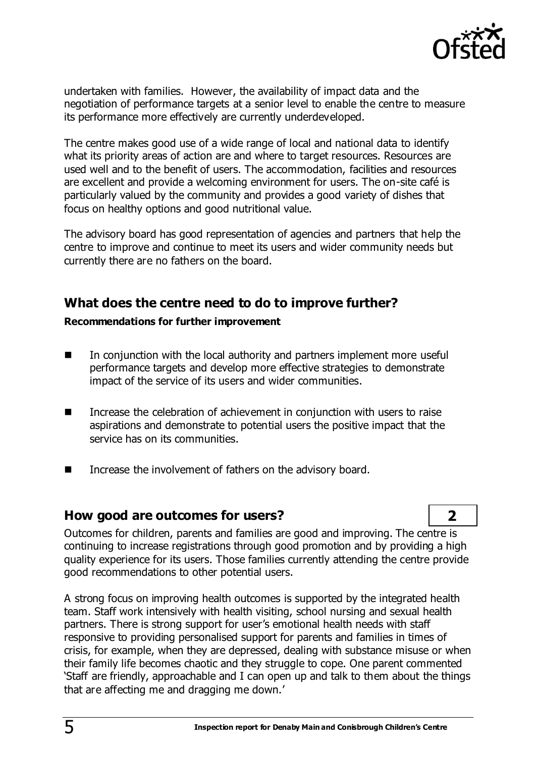

undertaken with families. However, the availability of impact data and the negotiation of performance targets at a senior level to enable the centre to measure its performance more effectively are currently underdeveloped.

The centre makes good use of a wide range of local and national data to identify what its priority areas of action are and where to target resources. Resources are used well and to the benefit of users. The accommodation, facilities and resources are excellent and provide a welcoming environment for users. The on-site café is particularly valued by the community and provides a good variety of dishes that focus on healthy options and good nutritional value.

The advisory board has good representation of agencies and partners that help the centre to improve and continue to meet its users and wider community needs but currently there are no fathers on the board.

### **What does the centre need to do to improve further?**

#### **Recommendations for further improvement**

- In conjunction with the local authority and partners implement more useful performance targets and develop more effective strategies to demonstrate impact of the service of its users and wider communities.
- Increase the celebration of achievement in conjunction with users to raise aspirations and demonstrate to potential users the positive impact that the service has on its communities.
- Increase the involvement of fathers on the advisory board.

### **How good are outcomes for users? 2**

Outcomes for children, parents and families are good and improving. The centre is continuing to increase registrations through good promotion and by providing a high quality experience for its users. Those families currently attending the centre provide good recommendations to other potential users.

A strong focus on improving health outcomes is supported by the integrated health team. Staff work intensively with health visiting, school nursing and sexual health partners. There is strong support for user's emotional health needs with staff responsive to providing personalised support for parents and families in times of crisis, for example, when they are depressed, dealing with substance misuse or when their family life becomes chaotic and they struggle to cope. One parent commented 'Staff are friendly, approachable and I can open up and talk to them about the things that are affecting me and dragging me down.'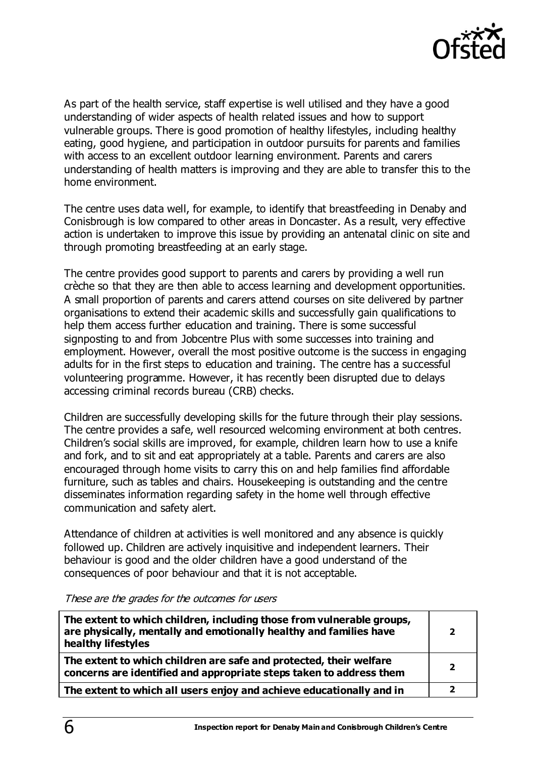

As part of the health service, staff expertise is well utilised and they have a good understanding of wider aspects of health related issues and how to support vulnerable groups. There is good promotion of healthy lifestyles, including healthy eating, good hygiene, and participation in outdoor pursuits for parents and families with access to an excellent outdoor learning environment. Parents and carers understanding of health matters is improving and they are able to transfer this to the home environment.

The centre uses data well, for example, to identify that breastfeeding in Denaby and Conisbrough is low compared to other areas in Doncaster. As a result, very effective action is undertaken to improve this issue by providing an antenatal clinic on site and through promoting breastfeeding at an early stage.

The centre provides good support to parents and carers by providing a well run crèche so that they are then able to access learning and development opportunities. A small proportion of parents and carers attend courses on site delivered by partner organisations to extend their academic skills and successfully gain qualifications to help them access further education and training. There is some successful signposting to and from Jobcentre Plus with some successes into training and employment. However, overall the most positive outcome is the success in engaging adults for in the first steps to education and training. The centre has a successful volunteering programme. However, it has recently been disrupted due to delays accessing criminal records bureau (CRB) checks.

Children are successfully developing skills for the future through their play sessions. The centre provides a safe, well resourced welcoming environment at both centres. Children's social skills are improved, for example, children learn how to use a knife and fork, and to sit and eat appropriately at a table. Parents and carers are also encouraged through home visits to carry this on and help families find affordable furniture, such as tables and chairs. Housekeeping is outstanding and the centre disseminates information regarding safety in the home well through effective communication and safety alert.

Attendance of children at activities is well monitored and any absence is quickly followed up. Children are actively inquisitive and independent learners. Their behaviour is good and the older children have a good understand of the consequences of poor behaviour and that it is not acceptable.

These are the grades for the outcomes for users

| The extent to which children, including those from vulnerable groups,<br>are physically, mentally and emotionally healthy and families have<br>healthy lifestyles | 2 |
|-------------------------------------------------------------------------------------------------------------------------------------------------------------------|---|
| The extent to which children are safe and protected, their welfare<br>concerns are identified and appropriate steps taken to address them                         |   |
| The extent to which all users enjoy and achieve educationally and in                                                                                              |   |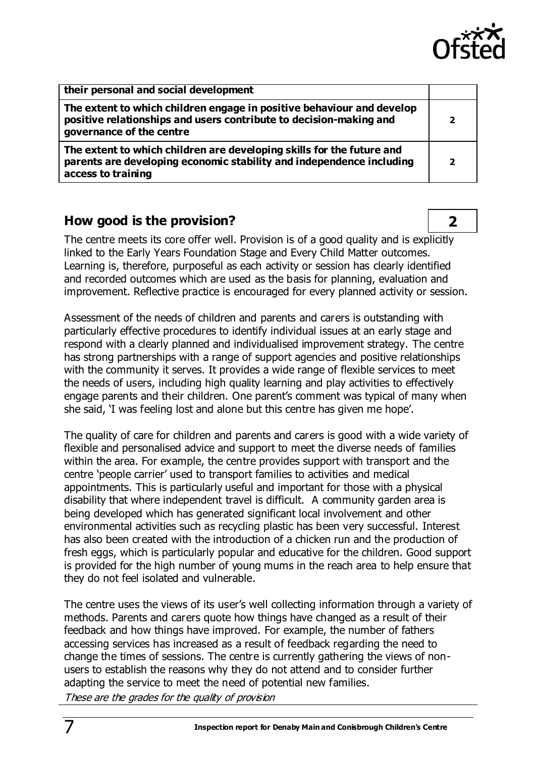

| their personal and social development                                                                                                                                   |   |
|-------------------------------------------------------------------------------------------------------------------------------------------------------------------------|---|
| The extent to which children engage in positive behaviour and develop<br>positive relationships and users contribute to decision-making and<br>governance of the centre | 2 |
| The extent to which children are developing skills for the future and<br>parents are developing economic stability and independence including<br>access to training     |   |

## **How good is the provision? 2**

The centre meets its core offer well. Provision is of a good quality and is explicitly linked to the Early Years Foundation Stage and Every Child Matter outcomes. Learning is, therefore, purposeful as each activity or session has clearly identified and recorded outcomes which are used as the basis for planning, evaluation and improvement. Reflective practice is encouraged for every planned activity or session.

Assessment of the needs of children and parents and carers is outstanding with particularly effective procedures to identify individual issues at an early stage and respond with a clearly planned and individualised improvement strategy. The centre has strong partnerships with a range of support agencies and positive relationships with the community it serves. It provides a wide range of flexible services to meet the needs of users, including high quality learning and play activities to effectively engage parents and their children. One parent's comment was typical of many when she said, 'I was feeling lost and alone but this centre has given me hope'.

The quality of care for children and parents and carers is good with a wide variety of flexible and personalised advice and support to meet the diverse needs of families within the area. For example, the centre provides support with transport and the centre 'people carrier' used to transport families to activities and medical appointments. This is particularly useful and important for those with a physical disability that where independent travel is difficult. A community garden area is being developed which has generated significant local involvement and other environmental activities such as recycling plastic has been very successful. Interest has also been created with the introduction of a chicken run and the production of fresh eggs, which is particularly popular and educative for the children. Good support is provided for the high number of young mums in the reach area to help ensure that they do not feel isolated and vulnerable.

The centre uses the views of its user's well collecting information through a variety of methods. Parents and carers quote how things have changed as a result of their feedback and how things have improved. For example, the number of fathers accessing services has increased as a result of feedback regarding the need to change the times of sessions. The centre is currently gathering the views of nonusers to establish the reasons why they do not attend and to consider further adapting the service to meet the need of potential new families. These are the grades for the quality of provision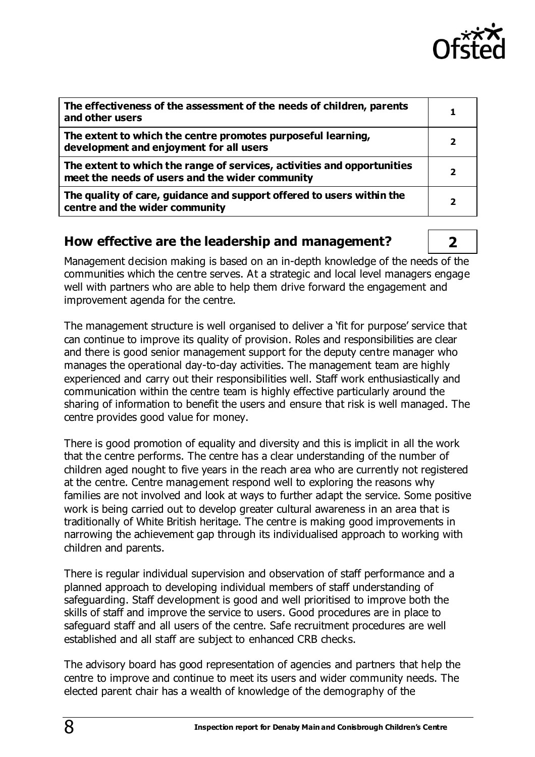

| The effectiveness of the assessment of the needs of children, parents<br>and other users                                   |   |
|----------------------------------------------------------------------------------------------------------------------------|---|
| The extent to which the centre promotes purposeful learning,<br>development and enjoyment for all users                    |   |
| The extent to which the range of services, activities and opportunities<br>meet the needs of users and the wider community |   |
| The quality of care, guidance and support offered to users within the<br>centre and the wider community                    | 7 |

### **How effective are the leadership and management? 2**

Management decision making is based on an in-depth knowledge of the needs of the communities which the centre serves. At a strategic and local level managers engage well with partners who are able to help them drive forward the engagement and improvement agenda for the centre.

The management structure is well organised to deliver a 'fit for purpose' service that can continue to improve its quality of provision. Roles and responsibilities are clear and there is good senior management support for the deputy centre manager who manages the operational day-to-day activities. The management team are highly experienced and carry out their responsibilities well. Staff work enthusiastically and communication within the centre team is highly effective particularly around the sharing of information to benefit the users and ensure that risk is well managed. The centre provides good value for money.

There is good promotion of equality and diversity and this is implicit in all the work that the centre performs. The centre has a clear understanding of the number of children aged nought to five years in the reach area who are currently not registered at the centre. Centre management respond well to exploring the reasons why families are not involved and look at ways to further adapt the service. Some positive work is being carried out to develop greater cultural awareness in an area that is traditionally of White British heritage. The centre is making good improvements in narrowing the achievement gap through its individualised approach to working with children and parents.

There is regular individual supervision and observation of staff performance and a planned approach to developing individual members of staff understanding of safeguarding. Staff development is good and well prioritised to improve both the skills of staff and improve the service to users. Good procedures are in place to safeguard staff and all users of the centre. Safe recruitment procedures are well established and all staff are subject to enhanced CRB checks.

The advisory board has good representation of agencies and partners that help the centre to improve and continue to meet its users and wider community needs. The elected parent chair has a wealth of knowledge of the demography of the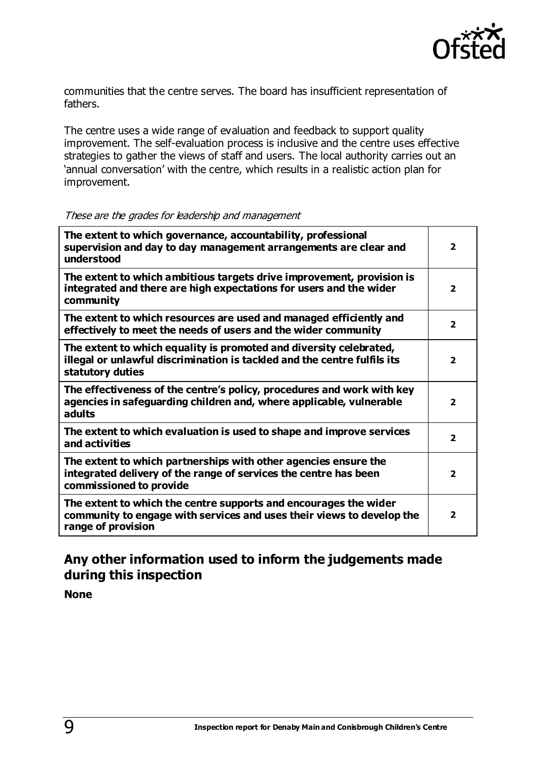

communities that the centre serves. The board has insufficient representation of fathers.

The centre uses a wide range of evaluation and feedback to support quality improvement. The self-evaluation process is inclusive and the centre uses effective strategies to gather the views of staff and users. The local authority carries out an 'annual conversation' with the centre, which results in a realistic action plan for improvement.

#### These are the grades for leadership and management

| The extent to which governance, accountability, professional<br>supervision and day to day management arrangements are clear and<br>understood                     |                         |
|--------------------------------------------------------------------------------------------------------------------------------------------------------------------|-------------------------|
| The extent to which ambitious targets drive improvement, provision is<br>integrated and there are high expectations for users and the wider<br>community           | $\overline{\mathbf{2}}$ |
| The extent to which resources are used and managed efficiently and<br>effectively to meet the needs of users and the wider community                               | $\overline{\mathbf{2}}$ |
| The extent to which equality is promoted and diversity celebrated,<br>illegal or unlawful discrimination is tackled and the centre fulfils its<br>statutory duties |                         |
| The effectiveness of the centre's policy, procedures and work with key<br>agencies in safeguarding children and, where applicable, vulnerable<br>adults            | $\overline{\mathbf{2}}$ |
| The extent to which evaluation is used to shape and improve services<br>and activities                                                                             | $\overline{2}$          |
| The extent to which partnerships with other agencies ensure the<br>integrated delivery of the range of services the centre has been<br>commissioned to provide     |                         |
| The extent to which the centre supports and encourages the wider<br>community to engage with services and uses their views to develop the<br>range of provision    | $\overline{\mathbf{2}}$ |

### **Any other information used to inform the judgements made during this inspection**

**None**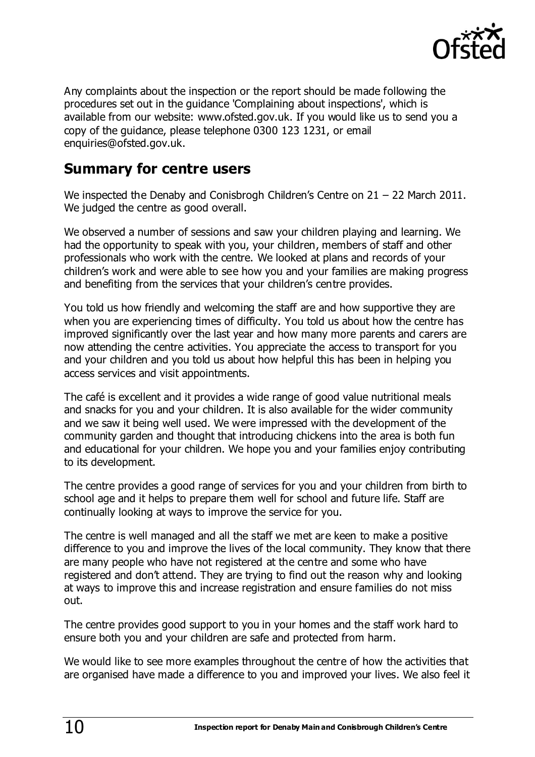

Any complaints about the inspection or the report should be made following the procedures set out in the guidance 'Complaining about inspections', which is available from our website: [www.ofsted.gov.uk.](http://www.ofsted.gov.uk/) If you would like us to send you a copy of the guidance, please telephone 0300 123 1231, or email [enquiries@ofsted.gov.uk.](mailto:enquiries@ofsted.gov.uk)

# **Summary for centre users**

We inspected the Denaby and Conisbrogh Children's Centre on 21 – 22 March 2011. We judged the centre as good overall.

We observed a number of sessions and saw your children playing and learning. We had the opportunity to speak with you, your children, members of staff and other professionals who work with the centre. We looked at plans and records of your children's work and were able to see how you and your families are making progress and benefiting from the services that your children's centre provides.

You told us how friendly and welcoming the staff are and how supportive they are when you are experiencing times of difficulty. You told us about how the centre has improved significantly over the last year and how many more parents and carers are now attending the centre activities. You appreciate the access to transport for you and your children and you told us about how helpful this has been in helping you access services and visit appointments.

The café is excellent and it provides a wide range of good value nutritional meals and snacks for you and your children. It is also available for the wider community and we saw it being well used. We were impressed with the development of the community garden and thought that introducing chickens into the area is both fun and educational for your children. We hope you and your families enjoy contributing to its development.

The centre provides a good range of services for you and your children from birth to school age and it helps to prepare them well for school and future life. Staff are continually looking at ways to improve the service for you.

The centre is well managed and all the staff we met are keen to make a positive difference to you and improve the lives of the local community. They know that there are many people who have not registered at the centre and some who have registered and don't attend. They are trying to find out the reason why and looking at ways to improve this and increase registration and ensure families do not miss out.

The centre provides good support to you in your homes and the staff work hard to ensure both you and your children are safe and protected from harm.

We would like to see more examples throughout the centre of how the activities that are organised have made a difference to you and improved your lives. We also feel it